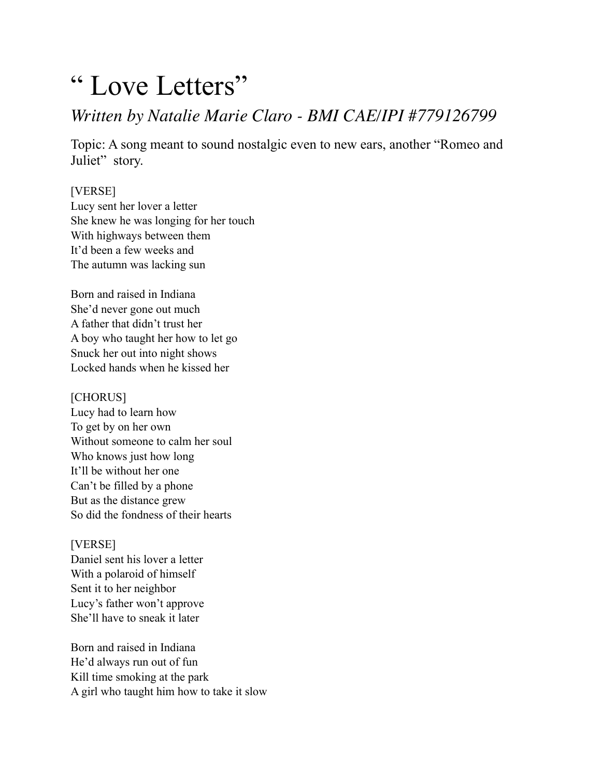# " Love Letters"

## *Written by Natalie Marie Claro - BMI CAE/IPI #779126799*

Topic: A song meant to sound nostalgic even to new ears, another "Romeo and Juliet" story.

### [VERSE]

Lucy sent her lover a letter She knew he was longing for her touch With highways between them It'd been a few weeks and The autumn was lacking sun

Born and raised in Indiana She'd never gone out much A father that didn't trust her A boy who taught her how to let go Snuck her out into night shows Locked hands when he kissed her

#### [CHORUS]

Lucy had to learn how To get by on her own Without someone to calm her soul Who knows just how long It'll be without her one Can't be filled by a phone But as the distance grew So did the fondness of their hearts

#### [VERSE]

Daniel sent his lover a letter With a polaroid of himself Sent it to her neighbor Lucy's father won't approve She'll have to sneak it later

Born and raised in Indiana He'd always run out of fun Kill time smoking at the park A girl who taught him how to take it slow